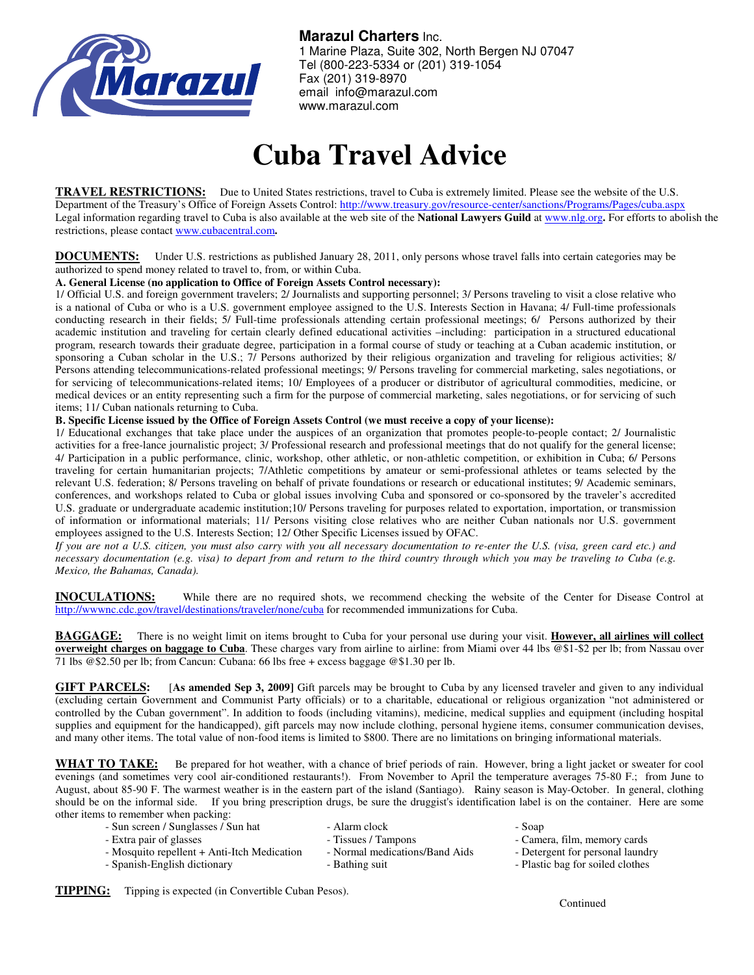

**Marazul Charters** Inc. 1 Marine Plaza, Suite 302, North Bergen NJ 07047 Tel (800-223-5334 or (201) 319-1054 Fax (201) 319-8970 email info@marazul.com www.marazul.com

## **Cuba Travel Advice**

**TRAVEL RESTRICTIONS:** Due to United States restrictions, travel to Cuba is extremely limited. Please see the website of the U.S. Department of the Treasury's Office of Foreign Assets Control: http://www.treasury.gov/resource-center/sanctions/Programs/Pages/cuba.aspx Legal information regarding travel to Cuba is also available at the web site of the **National Lawyers Guild** at www.nlg.org**.** For efforts to abolish the restrictions, please contact www.cubacentral.com**.**

**DOCUMENTS:** Under U.S. restrictions as published January 28, 2011, only persons whose travel falls into certain categories may be authorized to spend money related to travel to, from, or within Cuba.

## **A. General License (no application to Office of Foreign Assets Control necessary):**

1/ Official U.S. and foreign government travelers; 2/ Journalists and supporting personnel; 3/ Persons traveling to visit a close relative who is a national of Cuba or who is a U.S. government employee assigned to the U.S. Interests Section in Havana; 4/ Full-time professionals conducting research in their fields; 5/ Full-time professionals attending certain professional meetings; 6/ Persons authorized by their academic institution and traveling for certain clearly defined educational activities –including: participation in a structured educational program, research towards their graduate degree, participation in a formal course of study or teaching at a Cuban academic institution, or sponsoring a Cuban scholar in the U.S.; 7/ Persons authorized by their religious organization and traveling for religious activities; 8/ Persons attending telecommunications-related professional meetings; 9/ Persons traveling for commercial marketing, sales negotiations, or for servicing of telecommunications-related items; 10/ Employees of a producer or distributor of agricultural commodities, medicine, or medical devices or an entity representing such a firm for the purpose of commercial marketing, sales negotiations, or for servicing of such items; 11/ Cuban nationals returning to Cuba.

## **B. Specific License issued by the Office of Foreign Assets Control (we must receive a copy of your license):**

1/ Educational exchanges that take place under the auspices of an organization that promotes people-to-people contact; 2/ Journalistic activities for a free-lance journalistic project; 3/ Professional research and professional meetings that do not qualify for the general license; 4/ Participation in a public performance, clinic, workshop, other athletic, or non-athletic competition, or exhibition in Cuba; 6/ Persons traveling for certain humanitarian projects; 7/Athletic competitions by amateur or semi-professional athletes or teams selected by the relevant U.S. federation; 8/ Persons traveling on behalf of private foundations or research or educational institutes; 9/ Academic seminars, conferences, and workshops related to Cuba or global issues involving Cuba and sponsored or co-sponsored by the traveler's accredited U.S. graduate or undergraduate academic institution;10/ Persons traveling for purposes related to exportation, importation, or transmission of information or informational materials; 11/ Persons visiting close relatives who are neither Cuban nationals nor U.S. government employees assigned to the U.S. Interests Section; 12/ Other Specific Licenses issued by OFAC.

*If you are not a U.S. citizen, you must also carry with you all necessary documentation to re-enter the U.S. (visa, green card etc.) and necessary documentation (e.g. visa) to depart from and return to the third country through which you may be traveling to Cuba (e.g. Mexico, the Bahamas, Canada).* 

**INOCULATIONS:** While there are no required shots, we recommend checking the website of the Center for Disease Control at http://wwwnc.cdc.gov/travel/destinations/traveler/none/cuba for recommended immunizations for Cuba.

**BAGGAGE:** There is no weight limit on items brought to Cuba for your personal use during your visit. **However, all airlines will collect overweight charges on baggage to Cuba**. These charges vary from airline to airline: from Miami over 44 lbs @\$1-\$2 per lb; from Nassau over 71 lbs @\$2.50 per lb; from Cancun: Cubana: 66 lbs free + excess baggage @\$1.30 per lb.

**GIFT PARCELS:** [**As amended Sep 3, 2009]** Gift parcels may be brought to Cuba by any licensed traveler and given to any individual (excluding certain Government and Communist Party officials) or to a charitable, educational or religious organization "not administered or controlled by the Cuban government". In addition to foods (including vitamins), medicine, medical supplies and equipment (including hospital supplies and equipment for the handicapped), gift parcels may now include clothing, personal hygiene items, consumer communication devises, and many other items. The total value of non-food items is limited to \$800. There are no limitations on bringing informational materials.

**WHAT TO TAKE:** Be prepared for hot weather, with a chance of brief periods of rain. However, bring a light jacket or sweater for cool evenings (and sometimes very cool air-conditioned restaurants!). From November to April the temperature averages 75-80 F.; from June to August, about 85-90 F. The warmest weather is in the eastern part of the island (Santiago). Rainy season is May-October. In general, clothing should be on the informal side. If you bring prescription drugs, be sure the druggist's identification label is on the container. Here are some other items to remember when packing:

| $\alpha$ and $\alpha$ is contained. When packing. |                                |                                  |
|---------------------------------------------------|--------------------------------|----------------------------------|
| - Sun screen / Sunglasses / Sun hat               | - Alarm clock                  | - Soap                           |
| - Extra pair of glasses                           | - Tissues / Tampons            | - Camera, film, memory cards     |
| - Mosquito repellent + Anti-Itch Medication       | - Normal medications/Band Aids | - Detergent for personal laundry |
| - Spanish-English dictionary                      | - Bathing suit                 | - Plastic bag for soiled clothes |